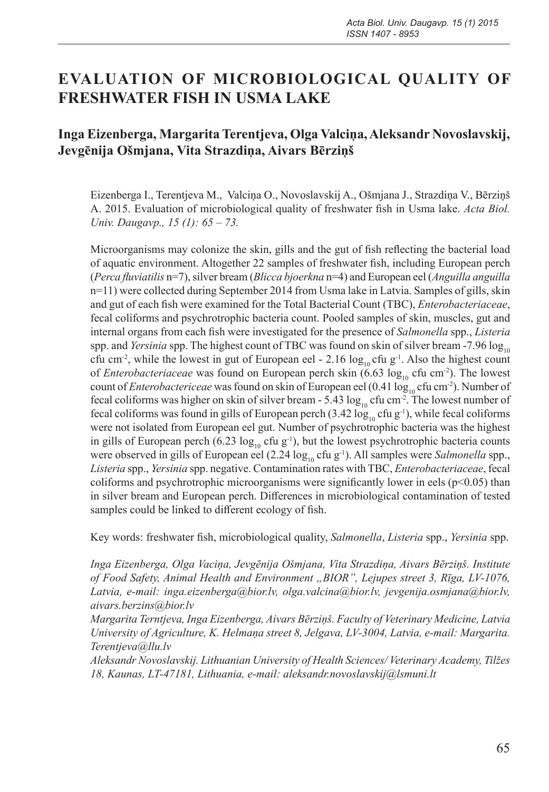# **EVALUATION OF MICROBIOLOGICAL QUALITY OF FRESHWATER FISH IN USMA LAKE**

# **Inga Eizenberga, Margarita Terentjeva, Olga Valciņa, Aleksandr Novoslavskij, Jevgēnija Ošmjana, Vita Strazdiņa, Aivars Bērziņš**

Eizenberga I., Terentjeva M., Valciņa O., Novoslavskij A., Ošmjana J., Strazdiņa V., Bērziņš A. 2015. Evaluation of microbiological quality of freshwater fish in Usma lake. *Acta Biol. Univ. Daugavp., 15 (1): 65 – 73.*

Microorganisms may colonize the skin, gills and the gut of fish reflecting the bacterial load of aquatic environment. Altogether 22 samples of freshwater fish, including European perch (*Perca fluviatilis* n=7), silver bream (*Blicca bjoerkna* n=4) and European eel (*Anguilla anguilla* n=11) were collected during September 2014 from Usma lake in Latvia. Samples of gills, skin and gut of each fish were examined for the Total Bacterial Count (TBC), *Enterobacteriaceae*, fecal coliforms and psychrotrophic bacteria count. Pooled samples of skin, muscles, gut and internal organs from each fish were investigated for the presence of *Salmonella* spp., *Listeria* spp. and *Yersinia* spp. The highest count of TBC was found on skin of silver bream -7.96 log<sub>10</sub> cfu cm<sup>-2</sup>, while the lowest in gut of European eel - 2.16  $\log_{10}$  cfu g<sup>-1</sup>. Also the highest count of *Enterobacteriaceae* was found on European perch skin  $(6.63 \log_{10} c \text{ftu cm}^2)$ . The lowest count of *Enterobactericeae* was found on skin of European eel (0.41 log<sub>10</sub> cfu cm<sup>-2</sup>). Number of fecal coliforms was higher on skin of silver bream - 5.43  $\log_{10}$  cfu cm<sup>-2</sup>. The lowest number of fecal coliforms was found in gills of European perch (3.42  $\log_{10}$  cfu g<sup>-1</sup>), while fecal coliforms were not isolated from European eel gut. Number of psychrotrophic bacteria was the highest in gills of European perch (6.23  $log_{10}$  cfu g<sup>-1</sup>), but the lowest psychrotrophic bacteria counts were observed in gills of European eel (2.24  $\log_{10}$  cfu g<sup>-1</sup>). All samples were *Salmonella* spp., *Listeria* spp., *Yersinia* spp. negative. Contamination rates with TBC, *Enterobacteriaceae*, fecal coliforms and psychrotrophic microorganisms were significantly lower in eels ( $p<0.05$ ) than in silver bream and European perch. Differences in microbiological contamination of tested samples could be linked to different ecology of fish.

Key words: freshwater fish, microbiological quality, *Salmonella*, *Listeria* spp., *Yersinia* spp.

*Inga Eizenberga, Olga Vaciņa, Jevgēnija Ošmjana, Vita Strazdiņa, Aivars Bērziņš. Institute of Food Safety, Animal Health and Environment "BIOR", Lejupes street 3, Rīga, LV-1076, Latvia, e-mail: inga.eizenberga@bior.lv, olga.valcina@bior.lv, jevgenija.osmjana@bior.lv, aivars.berzins@bior.lv*

*Margarita Terntjeva, Inga Eizenberga, Aivars Bērziņš. Faculty of Veterinary Medicine, Latvia University of Agriculture, K. Helmaņa street 8, Jelgava, LV-3004, Latvia, e-mail: Margarita. Terentjeva@llu.lv*

*Aleksandr Novoslavskij. Lithuanian University of Health Sciences/ Veterinary Academy, Tilžes 18, Kaunas, LT-47181, Lithuania, e-mail: aleksandr.novoslavskij@lsmuni.lt*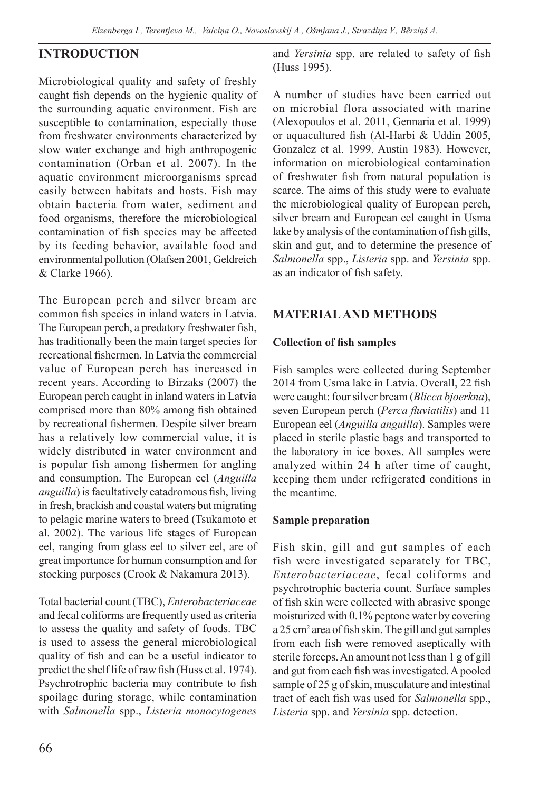# **INTRODUCTION**

Microbiological quality and safety of freshly caught fish depends on the hygienic quality of the surrounding aquatic environment. Fish are susceptible to contamination, especially those from freshwater environments characterized by slow water exchange and high anthropogenic contamination (Orban et al. 2007). In the aquatic environment microorganisms spread easily between habitats and hosts. Fish may obtain bacteria from water, sediment and food organisms, therefore the microbiological contamination of fish species may be affected by its feeding behavior, available food and environmental pollution (Olafsen 2001, Geldreich & Clarke 1966).

The European perch and silver bream are common fish species in inland waters in Latvia. The European perch, a predatory freshwater fish, has traditionally been the main target species for recreational fishermen. In Latvia the commercial value of European perch has increased in recent years. According to Birzaks (2007) the European perch caught in inland waters in Latvia comprised more than 80% among fish obtained by recreational fishermen. Despite silver bream has a relatively low commercial value, it is widely distributed in water environment and is popular fish among fishermen for angling and consumption. The European eel (*Anguilla anguilla*) is facultatively catadromous fish, living in fresh, brackish and coastal waters but migrating to pelagic marine waters to breed (Tsukamoto et al. 2002). The various life stages of European eel, ranging from glass eel to silver eel, are of great importance for human consumption and for stocking purposes (Crook & Nakamura 2013).

Total bacterial count (TBC), *Enterobacteriaceae* and fecal coliforms are frequently used as criteria to assess the quality and safety of foods. TBC is used to assess the general microbiological quality of fish and can be a useful indicator to predict the shelf life of raw fish (Huss et al. 1974). Psychrotrophic bacteria may contribute to fish spoilage during storage, while contamination with *Salmonella* spp., *Listeria monocytogenes* and *Yersinia* spp. are related to safety of fish (Huss 1995).

A number of studies have been carried out on microbial flora associated with marine (Alexopoulos et al. 2011, Gennaria et al. 1999) or aquacultured fish (Al-Harbi & Uddin 2005, Gonzalez et al. 1999, Austin 1983). However, information on microbiological contamination of freshwater fish from natural population is scarce. The aims of this study were to evaluate the microbiological quality of European perch, silver bream and European eel caught in Usma lake by analysis of the contamination of fish gills, skin and gut, and to determine the presence of *Salmonella* spp., *Listeria* spp. and *Yersinia* spp. as an indicator of fish safety.

# **MATERIAL AND METHODS**

### **Collection of fish samples**

Fish samples were collected during September 2014 from Usma lake in Latvia. Overall, 22 fish were caught: four silver bream (*Blicca bjoerkna*), seven European perch (*Perca fluviatilis*) and 11 European eel (*Anguilla anguilla*). Samples were placed in sterile plastic bags and transported to the laboratory in ice boxes. All samples were analyzed within 24 h after time of caught, keeping them under refrigerated conditions in the meantime.

#### **Sample preparation**

Fish skin, gill and gut samples of each fish were investigated separately for TBC, *Enterobacteriaceae*, fecal coliforms and psychrotrophic bacteria count. Surface samples of fish skin were collected with abrasive sponge moisturized with 0.1% peptone water by covering a 25 cm<sup>2</sup> area of fish skin. The gill and gut samples from each fish were removed aseptically with sterile forceps. An amount not less than 1 g of gill and gut from each fish was investigated. A pooled sample of 25 g of skin, musculature and intestinal tract of each fish was used for *Salmonella* spp., *Listeria* spp. and *Yersinia* spp. detection.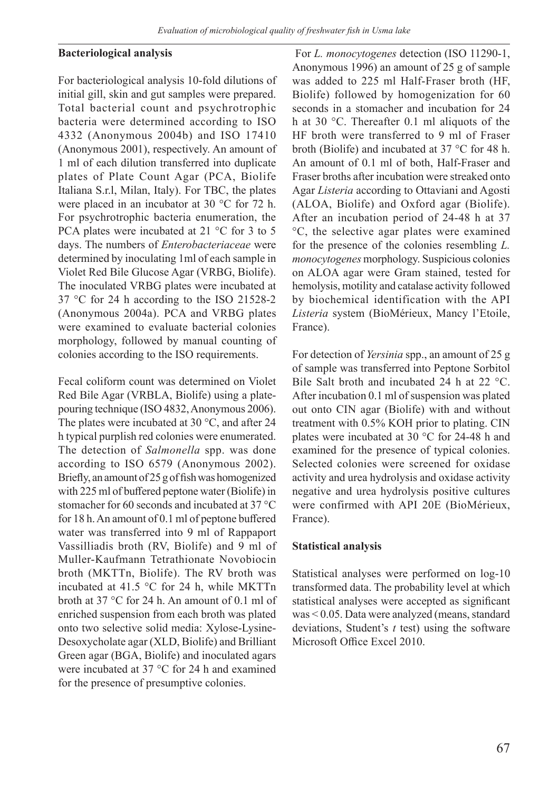#### **Bacteriological analysis**

For bacteriological analysis 10-fold dilutions of initial gill, skin and gut samples were prepared. Total bacterial count and psychrotrophic bacteria were determined according to ISO 4332 (Anonymous 2004b) and ISO 17410 (Anonymous 2001), respectively. An amount of 1 ml of each dilution transferred into duplicate plates of Plate Count Agar (PCA, Biolife Italiana S.r.l, Milan, Italy). For TBC, the plates were placed in an incubator at 30 °C for 72 h. For psychrotrophic bacteria enumeration, the PCA plates were incubated at 21 °C for 3 to 5 days. The numbers of *Enterobacteriaceae* were determined by inoculating 1ml of each sample in Violet Red Bile Glucose Agar (VRBG, Biolife). The inoculated VRBG plates were incubated at 37 °C for 24 h according to the ISO 21528-2 (Anonymous 2004a). PCA and VRBG plates were examined to evaluate bacterial colonies morphology, followed by manual counting of colonies according to the ISO requirements.

Fecal coliform count was determined on Violet Red Bile Agar (VRBLA, Biolife) using a platepouring technique (ISO 4832, Anonymous 2006). The plates were incubated at 30 °C, and after 24 h typical purplish red colonies were enumerated. The detection of *Salmonella* spp. was done according to ISO 6579 (Anonymous 2002). Briefly, an amount of 25 g of fish was homogenized with 225 ml of buffered peptone water (Biolife) in stomacher for 60 seconds and incubated at 37 °C for 18 h. An amount of 0.1 ml of peptone buffered water was transferred into 9 ml of Rappaport Vassilliadis broth (RV, Biolife) and 9 ml of Muller-Kaufmann Tetrathionate Novobiocin broth (MKTTn, Biolife). The RV broth was incubated at 41.5 °C for 24 h, while MKTTn broth at 37 °C for 24 h. An amount of 0.1 ml of enriched suspension from each broth was plated onto two selective solid media: Xylose-Lysine-Desoxycholate agar (XLD, Biolife) and Brilliant Green agar (BGA, Biolife) and inoculated agars were incubated at 37 °C for 24 h and examined for the presence of presumptive colonies.

 For *L. monocytogenes* detection (ISO 11290-1, Anonymous 1996) an amount of 25 g of sample was added to 225 ml Half-Fraser broth (HF, Biolife) followed by homogenization for 60 seconds in a stomacher and incubation for 24 h at 30 °C. Thereafter 0.1 ml aliquots of the HF broth were transferred to 9 ml of Fraser broth (Biolife) and incubated at 37 °C for 48 h. An amount of 0.1 ml of both, Half-Fraser and Fraser broths after incubation were streaked onto Agar *Listeria* according to Ottaviani and Agosti (ALOA, Biolife) and Oxford agar (Biolife). After an incubation period of 24-48 h at 37 °C, the selective agar plates were examined for the presence of the colonies resembling *L. monocytogenes* morphology. Suspicious colonies on ALOA agar were Gram stained, tested for hemolysis, motility and catalase activity followed by biochemical identification with the API *Listeria* system (BioMérieux, Mancy l'Etoile, France).

For detection of *Yersinia* spp., an amount of 25 g of sample was transferred into Peptone Sorbitol Bile Salt broth and incubated 24 h at 22 °C. After incubation 0.1 ml of suspension was plated out onto CIN agar (Biolife) with and without treatment with 0.5% KOH prior to plating. CIN plates were incubated at 30 °C for 24-48 h and examined for the presence of typical colonies. Selected colonies were screened for oxidase activity and urea hydrolysis and oxidase activity negative and urea hydrolysis positive cultures were confirmed with API 20E (BioMérieux, France).

#### **Statistical analysis**

Statistical analyses were performed on log-10 transformed data. The probability level at which statistical analyses were accepted as significant was < 0.05. Data were analyzed (means, standard deviations, Student's *t* test) using the software Microsoft Office Excel 2010.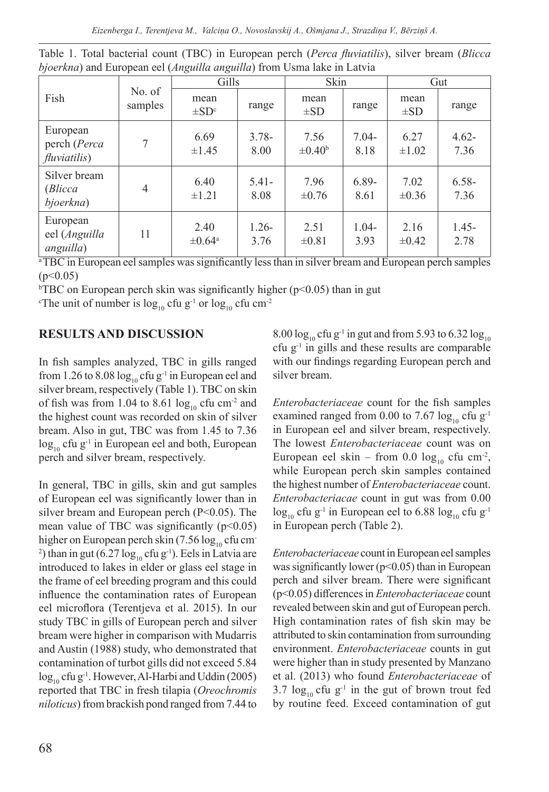| Fish                                             | No. of<br>samples | Gills                      |                  | Skin                       |                 | Gut                |                  |
|--------------------------------------------------|-------------------|----------------------------|------------------|----------------------------|-----------------|--------------------|------------------|
|                                                  |                   | mean<br>$\pm SD^c$         | range            | mean<br>$\pm SD$           | range           | mean<br>$\pm SD$   | range            |
| European<br>perch (Perca<br><i>fluviatilis</i> ) | 7                 | 6.69<br>$\pm 1.45$         | $3.78-$<br>8.00  | 7.56<br>$\pm 0.40^{\circ}$ | $7.04-$<br>8.18 | 6.27<br>$\pm 1.02$ | $4.62 -$<br>7.36 |
| Silver bream<br>(Blicca<br>bjoerkna)             | $\overline{4}$    | 6.40<br>$\pm 1.21$         | $5.41-$<br>8.08  | 7.96<br>$\pm 0.76$         | $6.89-$<br>8.61 | 7.02<br>$\pm 0.36$ | $6.58 -$<br>7.36 |
| European<br>eel (Anguilla<br>anguilla)           | 11                | 2.40<br>$\pm 0.64^{\circ}$ | $1.26 -$<br>3.76 | 2.51<br>$\pm 0.81$         | $1.04-$<br>3.93 | 2.16<br>$\pm 0.42$ | $1.45 -$<br>2.78 |

Table 1. Total bacterial count (TBC) in European perch (*Perca fluviatilis*), silver bream (*Blicca bjoerkna*) and European eel (*Anguilla anguilla*) from Usma lake in Latvia

<sup>a</sup>TBC in European eel samples was significantly less than in silver bream and European perch samples  $(p<0.05)$ 

<sup>b</sup>TBC on European perch skin was significantly higher (p<0.05) than in gut

<sup>c</sup>The unit of number is  $\log_{10}$  cfu g<sup>-1</sup> or  $\log_{10}$  cfu cm<sup>-2</sup>

# **RESULTS AND DISCUSSION**

In fish samples analyzed, TBC in gills ranged from 1.26 to 8.08  $log_{10}$  cfu g<sup>-1</sup> in European eel and silver bream, respectively (Table 1). TBC on skin of fish was from 1.04 to 8.61  $log_{10}$  cfu cm<sup>-2</sup> and the highest count was recorded on skin of silver bream. Also in gut, TBC was from 1.45 to 7.36  $\log_{10}$  cfu g<sup>-1</sup> in European eel and both, European perch and silver bream, respectively.

In general, TBC in gills, skin and gut samples of European eel was significantly lower than in silver bream and European perch (P<0.05). The mean value of TBC was significantly  $(p<0.05)$ higher on European perch skin  $(7.56 \log_{10} c$  fu cm-<sup>2</sup>) than in gut  $(6.27 \log_{10} c \text{fu g}^{-1})$ . Eels in Latvia are introduced to lakes in elder or glass eel stage in the frame of eel breeding program and this could influence the contamination rates of European eel microflora (Terentjeva et al. 2015). In our study TBC in gills of European perch and silver bream were higher in comparison with Mudarris and Austin (1988) study, who demonstrated that contamination of turbot gills did not exceed 5.84  $\log_{10}$  cfu g<sup>-1</sup>. However, Al-Harbi and Uddin (2005) reported that TBC in fresh tilapia (*Oreochromis niloticus*) from brackish pond ranged from 7.44 to

8.00  $\log_{10}$  cfu g<sup>-1</sup> in gut and from 5.93 to 6.32  $\log_{10}$ cfu  $g^{-1}$  in gills and these results are comparable with our findings regarding European perch and silver bream.

*Enterobacteriaceae* count for the fish samples examined ranged from 0.00 to 7.67  $log_{10}$  cfu g<sup>-1</sup> in European eel and silver bream, respectively. The lowest *Enterobacteriaceae* count was on European eel skin – from 0.0  $\log_{10}$  cfu cm<sup>-2</sup>, while European perch skin samples contained the highest number of *Enterobacteriaceae* count. *Enterobacteriacae* count in gut was from 0.00  $\log_{10}$  cfu g<sup>-1</sup> in European eel to 6.88  $\log_{10}$  cfu g<sup>-1</sup> in European perch (Table 2).

*Enterobacteriaceae* count in European eel samples was significantly lower ( $p$ <0.05) than in European perch and silver bream. There were significant (p<0.05) differences in *Enterobacteriaceae* count revealed between skin and gut of European perch. High contamination rates of fish skin may be attributed to skin contamination from surrounding environment. *Enterobacteriaceae* counts in gut were higher than in study presented by Manzano et al. (2013) who found *Enterobacteriaceae* of 3.7  $\log_{10}$  cfu g<sup>-1</sup> in the gut of brown trout fed by routine feed. Exceed contamination of gut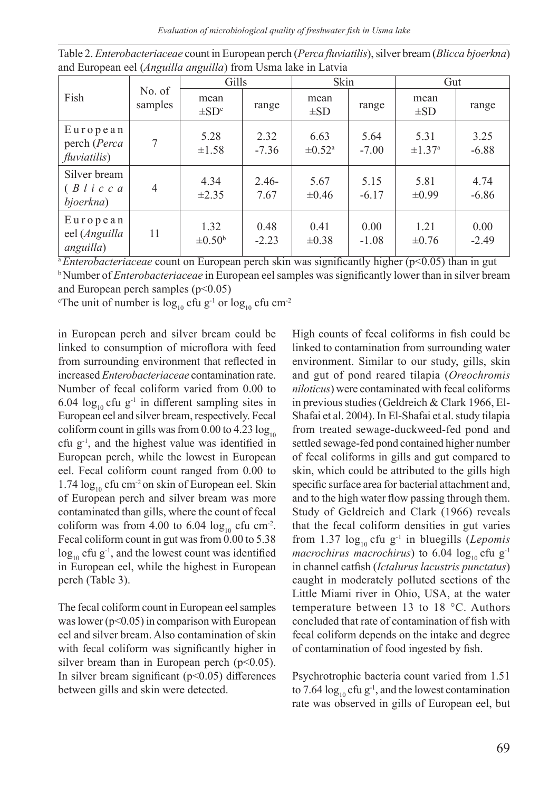*Evaluation of microbiological quality of freshwater fish in Usma lake*

| Fish                                                           | No. of<br>samples | Gills                                                  |                                 | Skin                                                           |                                 | Gut                                                      |                                             |
|----------------------------------------------------------------|-------------------|--------------------------------------------------------|---------------------------------|----------------------------------------------------------------|---------------------------------|----------------------------------------------------------|---------------------------------------------|
|                                                                |                   | mean<br>$\pm SD^c$                                     | range                           | mean<br>$\pm SD$                                               | range                           | mean<br>$\pm SD$                                         | range                                       |
| $E$ uropean<br>perch (Perca<br>fluviatilis)                    | 7                 | 5.28<br>$\pm 1.58$                                     | 2.32<br>$-7.36$                 | 6.63<br>$\pm 0.52$ <sup>a</sup>                                | 5.64<br>$-7.00$                 | 5.31<br>$\pm 1.37^{\rm a}$                               | 3.25<br>$-6.88$                             |
| Silver bream<br>$(B \mid i \mid c \mid c \mid a)$<br>bjoerkna) | 4                 | 4.34<br>$\pm 2.35$                                     | $2.46-$<br>7.67                 | 5.67<br>$\pm 0.46$                                             | 5.15<br>$-6.17$                 | 5.81<br>$\pm 0.99$                                       | 4.74<br>$-6.86$                             |
| $E$ uropean<br>eel (Anguilla<br>anguilla)                      | 11                | 1.32<br>$\pm 0.50^{\rm b}$<br>$\overline{\phantom{a}}$ | 0.48<br>$-2.23$<br><del>.</del> | 0.41<br>$\pm 0.38$<br>$\overline{\cdot}$<br>$\overline{\cdot}$ | 0.00<br>$-1.08$<br><del>.</del> | 1.21<br>$\pm 0.76$<br>$\sim$ $\sim$ $\sim$ $\sim$ $\sim$ | 0.00<br>$-2.49$<br>$\overline{\phantom{a}}$ |

Table 2. *Enterobacteriaceae* count in European perch (*Perca fluviatilis*), silver bream (*Blicca bjoerkna*) and European eel (*Anguilla anguilla*) from Usma lake in Latvia

<sup>a</sup>*Enterobacteriaceae* count on European perch skin was significantly higher (p<0.05) than in gut <sup>b</sup>Number of *Enterobacteriaceae* in European eel samples was significantly lower than in silver bream

and European perch samples  $(p<0.05)$ 

The unit of number is  $\log_{10}$  cfu  $\rm{g^{-1}}$  or  $\log_{10}$  cfu cm<sup>-2</sup>

in European perch and silver bream could be linked to consumption of microflora with feed from surrounding environment that reflected in increased *Enterobacteriaceae* contamination rate. Number of fecal coliform varied from 0.00 to 6.04  $log_{10}$  cfu g<sup>-1</sup> in different sampling sites in European eel and silver bream, respectively. Fecal coliform count in gills was from  $0.00$  to  $4.23 \log_{10}$ cfu  $g^{-1}$ , and the highest value was identified in European perch, while the lowest in European eel. Fecal coliform count ranged from 0.00 to 1.74  $\log_{10}$  cfu cm<sup>-2</sup> on skin of European eel. Skin of European perch and silver bream was more contaminated than gills, where the count of fecal coliform was from 4.00 to 6.04  $log_{10}$  cfu cm<sup>-2</sup>. Fecal coliform count in gut was from 0.00 to 5.38  $\log_{10}$  cfu g<sup>-1</sup>, and the lowest count was identified in European eel, while the highest in European perch (Table 3).

The fecal coliform count in European eel samples was lower ( $p$ <0.05) in comparison with European eel and silver bream. Also contamination of skin with fecal coliform was significantly higher in silver bream than in European perch  $(p<0.05)$ . In silver bream significant  $(p<0.05)$  differences between gills and skin were detected.

High counts of fecal coliforms in fish could be linked to contamination from surrounding water environment. Similar to our study, gills, skin and gut of pond reared tilapia (*Oreochromis niloticus*) were contaminated with fecal coliforms in previous studies (Geldreich & Clark 1966, El-Shafai et al. 2004). In El-Shafai et al. study tilapia from treated sewage-duckweed-fed pond and settled sewage-fed pond contained higher number of fecal coliforms in gills and gut compared to skin, which could be attributed to the gills high specific surface area for bacterial attachment and, and to the high water flow passing through them. Study of Geldreich and Clark (1966) reveals that the fecal coliform densities in gut varies from 1.37  $log_{10}$  cfu g<sup>-1</sup> in bluegills (*Lepomis macrochirus macrochirus*) to 6.04  $log_{10}$  cfu g<sup>-1</sup> in channel catfish (*Ictalurus lacustris punctatus*) caught in moderately polluted sections of the Little Miami river in Ohio, USA, at the water temperature between 13 to 18 °C. Authors concluded that rate of contamination of fish with fecal coliform depends on the intake and degree of contamination of food ingested by fish.

Psychrotrophic bacteria count varied from 1.51 to 7.64  $\log_{10}$  cfu g<sup>-1</sup>, and the lowest contamination rate was observed in gills of European eel, but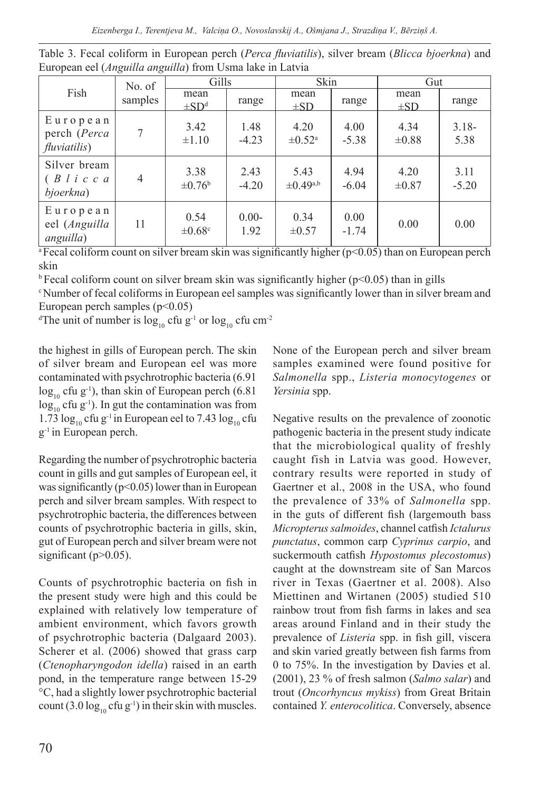*Eizenberga I., Terentjeva M., Valciņa O., Novoslavskij A., Ošmjana J., Strazdiņa V., Bērziņš A.*

| Fish                                                           | No. of<br>samples | Gills                      |                 | Skin                            |                 | Gut                |                  |
|----------------------------------------------------------------|-------------------|----------------------------|-----------------|---------------------------------|-----------------|--------------------|------------------|
|                                                                |                   | mean<br>$\pm SD^d$         | range           | mean<br>$\pm SD$                | range           | mean<br>$\pm SD$   | range            |
| European<br>perch (Perca<br><i>fluviatilis</i> )               |                   | 3.42<br>$\pm 1.10$         | 1.48<br>$-4.23$ | 4.20<br>$\pm 0.52$ <sup>a</sup> | 4.00<br>$-5.38$ | 4.34<br>$\pm 0.88$ | $3.18 -$<br>5.38 |
| Silver bream<br>$(B \mid i \mid c \mid c \mid a)$<br>bjoerkna) | $\overline{4}$    | 3.38<br>$\pm 0.76^{\rm b}$ | 2.43<br>$-4.20$ | 5.43<br>$\pm$ 0.49a,b           | 4.94<br>$-6.04$ | 4.20<br>$\pm 0.87$ | 3.11<br>$-5.20$  |
| European<br>eel (Anguilla<br>anguilla)                         | 11                | 0.54<br>$\pm 0.68$ c       | $0.00-$<br>1.92 | 0.34<br>$\pm 0.57$              | 0.00<br>$-1.74$ | 0.00               | 0.00             |

Table 3. Fecal coliform in European perch (*Perca fluviatilis*), silver bream (*Blicca bjoerkna*) and European eel (*Anguilla anguilla*) from Usma lake in Latvia

<sup>a</sup>Fecal coliform count on silver bream skin was significantly higher ( $p$ <0.05) than on European perch skin

 $\rm{b}$  Fecal coliform count on silver bream skin was significantly higher (p<0.05) than in gills

<sup>c</sup>Number of fecal coliforms in European eel samples was significantly lower than in silver bream and European perch samples  $(p<0.05)$ 

<sup>d</sup>The unit of number is  $\log_{10}$  cfu g<sup>-1</sup> or  $\log_{10}$  cfu cm<sup>-2</sup>

the highest in gills of European perch. The skin of silver bream and European eel was more contaminated with psychrotrophic bacteria (6.91  $log_{10}$  cfu g<sup>-1</sup>), than skin of European perch (6.81)  $\log_{10}$  cfu g<sup>-1</sup>). In gut the contamination was from 1.73  $\log_{10}$  cfu g<sup>-1</sup> in European eel to 7.43  $\log_{10}$  cfu g-1 in European perch.

Regarding the number of psychrotrophic bacteria count in gills and gut samples of European eel, it was significantly ( $p<0.05$ ) lower than in European perch and silver bream samples. With respect to psychrotrophic bacteria, the differences between counts of psychrotrophic bacteria in gills, skin, gut of European perch and silver bream were not significant ( $p>0.05$ ).

Counts of psychrotrophic bacteria on fish in the present study were high and this could be explained with relatively low temperature of ambient environment, which favors growth of psychrotrophic bacteria (Dalgaard 2003). Scherer et al. (2006) showed that grass carp (*Ctenopharyngodon idella*) raised in an earth pond, in the temperature range between 15-29 °C, had a slightly lower psychrotrophic bacterial count (3.0  $log_{10}$  cfu g<sup>-1</sup>) in their skin with muscles.

None of the European perch and silver bream samples examined were found positive for *Salmonella* spp., *Listeria monocytogenes* or *Yersinia* spp.

Negative results on the prevalence of zoonotic pathogenic bacteria in the present study indicate that the microbiological quality of freshly caught fish in Latvia was good. However, contrary results were reported in study of Gaertner et al., 2008 in the USA, who found the prevalence of 33% of *Salmonella* spp. in the guts of different fish (largemouth bass *Micropterus salmoides*, channel catfish *Ictalurus punctatus*, common carp *Cyprinus carpio*, and suckermouth catfish *Hypostomus plecostomus*) caught at the downstream site of San Marcos river in Texas (Gaertner et al. 2008). Also Miettinen and Wirtanen (2005) studied 510 rainbow trout from fish farms in lakes and sea areas around Finland and in their study the prevalence of *Listeria* spp. in fish gill, viscera and skin varied greatly between fish farms from 0 to 75%. In the investigation by Davies et al. (2001), 23 % of fresh salmon (*Salmo salar*) and trout (*Oncorhyncus mykiss*) from Great Britain contained *Y. enterocolitica*. Conversely, absence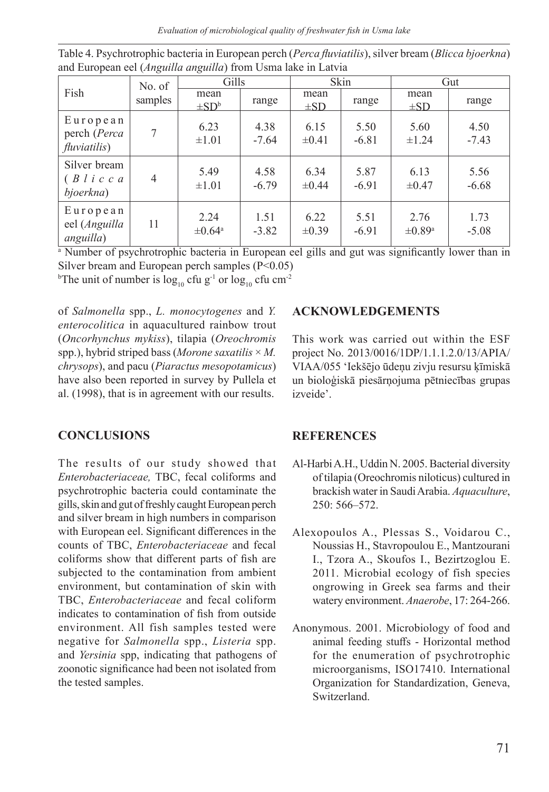*Evaluation of microbiological quality of freshwater fish in Usma lake*

| Fish                                                           | No. of<br>samples | Gills                      |                 | Skin               |                 | Gut                             |                 |
|----------------------------------------------------------------|-------------------|----------------------------|-----------------|--------------------|-----------------|---------------------------------|-----------------|
|                                                                |                   | mean<br>$\pm SD^b$         | range           | mean<br>$\pm SD$   | range           | mean<br>$\pm SD$                | range           |
| $E$ uropean<br>perch (Perca<br><i>fluviatilis</i> )            | 7                 | 6.23<br>$\pm 1.01$         | 4.38<br>$-7.64$ | 6.15<br>$\pm 0.41$ | 5.50<br>$-6.81$ | 5.60<br>$\pm 1.24$              | 4.50<br>$-7.43$ |
| Silver bream<br>$(B \mid i \mid c \mid c \mid a)$<br>bjoerkna) | 4                 | 5.49<br>$\pm 1.01$         | 4.58<br>$-6.79$ | 6.34<br>$\pm 0.44$ | 5.87<br>$-6.91$ | 6.13<br>$\pm 0.47$              | 5.56<br>$-6.68$ |
| $E$ uropean<br>eel (Anguilla<br>anguilla)                      | 11                | 2.24<br>$\pm 0.64^{\circ}$ | 1.51<br>$-3.82$ | 6.22<br>$\pm 0.39$ | 5.51<br>$-6.91$ | 2.76<br>$\pm 0.89^{\mathrm{a}}$ | 1.73<br>$-5.08$ |

Table 4. Psychrotrophic bacteria in European perch (*Perca fluviatilis*), silver bream (*Blicca bjoerkna*) and European eel (*Anguilla anguilla*) from Usma lake in Latvia

<sup>a</sup> Number of psychrotrophic bacteria in European eel gills and gut was significantly lower than in Silver bream and European perch samples (P<0.05)

<sup>b</sup>The unit of number is  $\log_{10}$  cfu  $\mathrm{g}^\text{-1}$  or  $\log_{10}$  cfu  $\mathrm{cm}^\text{-2}$ 

of *Salmonella* spp., *L. monocytogenes* and *Y. enterocolitica* in aquacultured rainbow trout (*Oncorhynchus mykiss*), tilapia (*Oreochromis* spp.), hybrid striped bass (*Morone saxatilis* × *M. chrysops*), and pacu (*Piaractus mesopotamicus*) have also been reported in survey by Pullela et al. (1998), that is in agreement with our results.

# **CONCLUSIONS**

The results of our study showed that *Enterobacteriaceae,* TBC, fecal coliforms and psychrotrophic bacteria could contaminate the gills, skin and gut of freshly caught European perch and silver bream in high numbers in comparison with European eel. Significant differences in the counts of TBC, *Enterobacteriaceae* and fecal coliforms show that different parts of fish are subjected to the contamination from ambient environment, but contamination of skin with TBC, *Enterobacteriaceae* and fecal coliform indicates to contamination of fish from outside environment. All fish samples tested were negative for *Salmonella* spp., *Listeria* spp. and *Yersinia* spp, indicating that pathogens of zoonotic significance had been not isolated from the tested samples.

# **ACKNOWLEDGEMENTS**

This work was carried out within the ESF project No. 2013/0016/1DP/1.1.1.2.0/13/APIA/ VIAA/055 'Iekšējo ūdeņu zivju resursu ķīmiskā un bioloģiskā piesārņojuma pētniecības grupas izveide'.

### **REFERENCES**

- Al-Harbi A.H., Uddin N. 2005. Bacterial diversity of tilapia (Oreochromis niloticus) cultured in brackish water in Saudi Arabia. *Aquaculture*, 250: 566–572.
- Alexopoulos A., Plessas S., Voidarou C., Noussias H., Stavropoulou E., Mantzourani I., Tzora A., Skoufos I., Bezirtzoglou E. 2011. Microbial ecology of fish species ongrowing in Greek sea farms and their watery environment. *Anaerobe*, 17: 264-266.
- Anonymous. 2001. Microbiology of food and animal feeding stuffs - Horizontal method for the enumeration of psychrotrophic microorganisms, ISO17410. International Organization for Standardization, Geneva, Switzerland.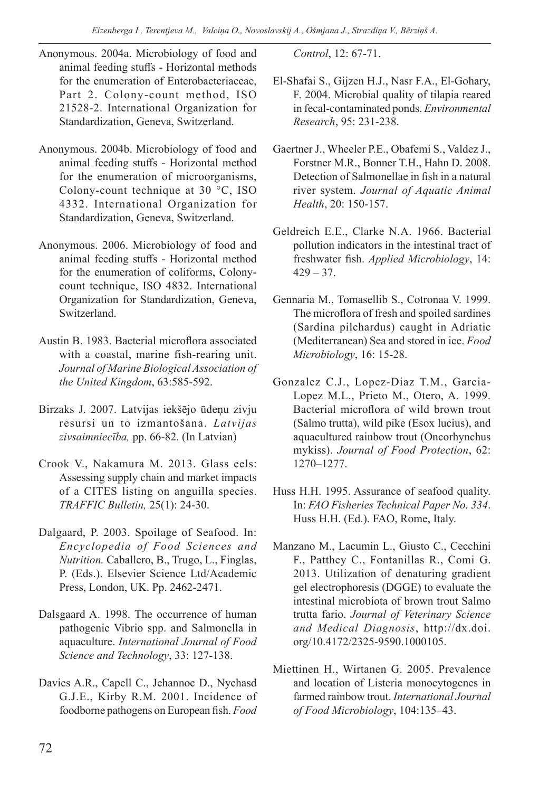- Anonymous. 2004a. Microbiology of food and animal feeding stuffs - Horizontal methods for the enumeration of Enterobacteriaceae, Part 2. Colony-count method, ISO 21528-2. International Organization for Standardization, Geneva, Switzerland.
- Anonymous. 2004b. Microbiology of food and animal feeding stuffs - Horizontal method for the enumeration of microorganisms, Colony-count technique at 30 °C, ISO 4332. International Organization for Standardization, Geneva, Switzerland.
- Anonymous. 2006. Microbiology of food and animal feeding stuffs - Horizontal method for the enumeration of coliforms, Colonycount technique, ISO 4832. International Organization for Standardization, Geneva, Switzerland.
- Austin B. 1983. Bacterial microflora associated with a coastal, marine fish-rearing unit. *Journal of Marine Biological Association of the United Kingdom*, 63:585-592.
- Birzaks J. 2007. Latvijas iekšējo ūdeņu zivju resursi un to izmantošana. *Latvijas zivsaimniecība,* pp. 66-82. (In Latvian)
- Crook V., Nakamura M. 2013. Glass eels: Assessing supply chain and market impacts of a CITES listing on anguilla species. *TRAFFIC Bulletin,* 25(1): 24-30.
- Dalgaard, P. 2003. Spoilage of Seafood. In: *Encyclopedia of Food Sciences and Nutrition.* Caballero, B., Trugo, L., Finglas, P. (Eds.). Elsevier Science Ltd/Academic Press, London, UK. Pp. 2462-2471.
- Dalsgaard A. 1998. The occurrence of human pathogenic Vibrio spp. and Salmonella in aquaculture. *International Journal of Food Science and Technology*, 33: 127-138.
- Davies A.R., Capell C., Jehannoc D., Nychasd G.J.E., Kirby R.M. 2001. Incidence of foodborne pathogens on European fish. *Food*

*Control*, 12: 67-71.

- El-Shafai S., Gijzen H.J., Nasr F.A., El-Gohary, F. 2004. Microbial quality of tilapia reared in fecal-contaminated ponds. *Environmental Research*, 95: 231-238.
- Gaertner J., Wheeler P.E., Obafemi S., Valdez J., Forstner M.R., Bonner T.H., Hahn D. 2008. Detection of Salmonellae in fish in a natural river system. *Journal of Aquatic Animal Health*, 20: 150-157.
- Geldreich E.E., Clarke N.A. 1966. Bacterial pollution indicators in the intestinal tract of freshwater fish. *Applied Microbiology*, 14:  $429 - 37.$
- Gennaria M., Tomasellib S., Cotronaa V. 1999. The microflora of fresh and spoiled sardines (Sardina pilchardus) caught in Adriatic (Mediterranean) Sea and stored in ice. *Food Microbiology*, 16: 15-28.
- Gonzalez C.J., Lopez-Diaz T.M., Garcia-Lopez M.L., Prieto M., Otero, A. 1999. Bacterial microflora of wild brown trout (Salmo trutta), wild pike (Esox lucius), and aquacultured rainbow trout (Oncorhynchus mykiss). *Journal of Food Protection*, 62: 1270–1277.
- Huss H.H. 1995. Assurance of seafood quality. In: *FAO Fisheries Technical Paper No. 334*. Huss H.H. (Ed.). FAO, Rome, Italy.
- Manzano M., Lacumin L., Giusto C., Cecchini F., Patthey C., Fontanillas R., Comi G. 2013. Utilization of denaturing gradient gel electrophoresis (DGGE) to evaluate the intestinal microbiota of brown trout Salmo trutta fario. *Journal of Veterinary Science and Medical Diagnosis*, http://dx.doi. org/10.4172/2325-9590.1000105.
- Miettinen H., Wirtanen G. 2005. Prevalence and location of Listeria monocytogenes in farmed rainbow trout. *International Journal of Food Microbiology*, 104:135–43.